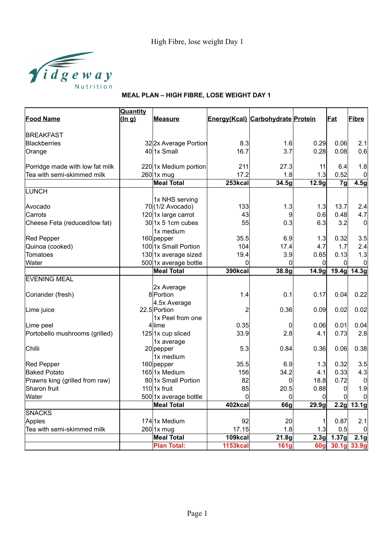

|                                 | Quantity |                       |                 |                                   |                   |                |                |
|---------------------------------|----------|-----------------------|-----------------|-----------------------------------|-------------------|----------------|----------------|
| <b>Food Name</b>                | (ln q)   | <b>Measure</b>        |                 | Energy(Kcal) Carbohydrate Protein |                   | <b>Fat</b>     | Fibre          |
| <b>BREAKFAST</b>                |          |                       |                 |                                   |                   |                |                |
| <b>Blackberries</b>             |          | 322x Average Portion  | 8.3             | 1.6                               | 0.29              | 0.06           | 2.1            |
| Orange                          |          | 401x Small            | 16.7            | 3.7                               | 0.28              | 0.08           | 0.6            |
| Porridge made with low fat milk |          | 220 1x Medium portion | 211             | 27.3                              | 11                | 6.4            | 1.8            |
| Tea with semi-skimmed milk      |          | $260$ 1x mug          | 17.2            | 1.8                               | 1.3               | 0.52           | 0              |
|                                 |          | <b>Meal Total</b>     | 253kcal         | 34.5g                             | 12.9 <sub>g</sub> | 7 <sub>g</sub> | 4.5g           |
| LUNCH                           |          |                       |                 |                                   |                   |                |                |
|                                 |          | 1x NHS serving        |                 |                                   |                   |                |                |
| Avocado                         |          | 70(1/2 Avocado)       | 133             | 1.3                               | 1.3               | 13.7           | 2.4            |
| Carrots                         |          | 1201x large carrot    | 43              | 9                                 | 0.6               | 0.48           | 4.7            |
| Cheese Feta (reduced/low fat)   |          | $30$  1x 5 1cm cubes  | 55              | 0.3                               | 6.3               | 3.2            | $\overline{0}$ |
|                                 |          | 1x medium             |                 |                                   |                   |                |                |
| <b>Red Pepper</b>               |          | 160 pepper            | 35.5            | 6.9                               | 1.3               | 0.32           | 3.5            |
| Quinoa (cooked)                 |          | 1001x Small Portion   | 104             | 17.4                              | 4.7               | 1.7            | 2.4            |
| <b>Tomatoes</b>                 |          | 130 1x average sized  | 19.4            | 3.9                               | 0.65              | 0.13           | 1.3            |
| Water                           |          | 500 1x average bottle | 0               | $\Omega$                          | $\Omega$          | $\Omega$       | 0              |
|                                 |          | <b>Meal Total</b>     | 390kcal         | 38.8g                             | 14.9g             |                | 19.4g 14.3g    |
| <b>EVENING MEAL</b>             |          |                       |                 |                                   |                   |                |                |
|                                 |          | 2x Average            |                 |                                   |                   |                |                |
| Coriander (fresh)               |          | 8Portion              | 1.4             | 0.1                               | 0.17              | 0.04           | 0.22           |
|                                 |          | 4.5x Average          |                 |                                   |                   |                |                |
| Lime juice                      |          | 22.5 Portion          | $\overline{2}$  | 0.36                              | 0.09              | 0.02           | 0.02           |
|                                 |          | 1x Peel from one      |                 |                                   |                   |                |                |
| Lime peel                       |          | 4 lime                | 0.35            | $\overline{0}$                    | 0.06              | 0.01           | 0.04           |
| Portobello mushrooms (grilled)  |          | 125 1x cup sliced     | 33.9            | 2.8                               | 4.1               | 0.73           | 2.8            |
|                                 |          | 1x average            |                 |                                   |                   |                |                |
| Chilli                          |          | 20 pepper             | 5.3             | 0.84                              | 0.36              | 0.06           | 0.38           |
|                                 |          | 1x medium             |                 |                                   |                   |                |                |
| <b>Red Pepper</b>               |          | 160 pepper            | 35.5            | 6.9                               | 1.3               | 0.32           | 3.5            |
| <b>Baked Potato</b>             |          | 1651x Medium          | 156             | 34.2                              | 4.1               | 0.33           | 4.3            |
| Prawns king (grilled from raw)  |          | 80 1x Small Portion   | 82              | $\Omega$                          | 18.8              | 0.72           | 0              |
| Sharon fruit                    |          | $110$ 1x fruit        | 85              | 20.5                              | 0.88              | 0              | 1.9            |
| Water                           |          | 500 1x average bottle | $\Omega$        | $\Omega$                          | 0                 | $\Omega$       | $\mathbf 0$    |
|                                 |          | <b>Meal Total</b>     | 402kcal         | 66g                               | 29.9g             |                | $2.2g$ 13.1g   |
| <b>SNACKS</b>                   |          |                       |                 |                                   |                   |                |                |
| Apples                          |          | 1741x Medium          | 92              | 20                                | 1                 | 0.87           | 2.1            |
| Tea with semi-skimmed milk      |          | 260 1x mug            | 17.15           | 1.8                               | 1.3               | 0.5            | 0              |
|                                 |          | <b>Meal Total</b>     | 109kcal         | 21.8g                             | 2.3g              | 1.37g          | 2.1g           |
|                                 |          | <b>Plan Total:</b>    | <b>1153kcal</b> | 161g                              | <b>60g</b>        | 30.1g          | 33.9g          |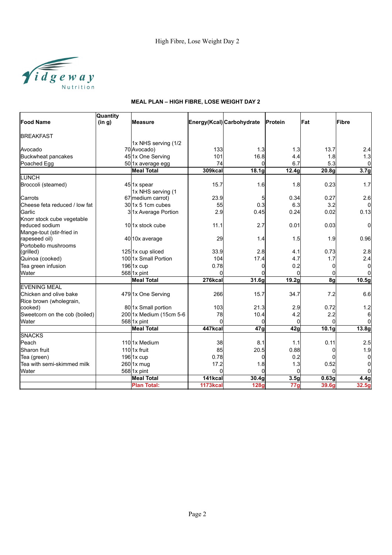

|                                | <b>Quantity</b> |                            |                 |                           |                    |                   |                  |
|--------------------------------|-----------------|----------------------------|-----------------|---------------------------|--------------------|-------------------|------------------|
| <b>Food Name</b>               | (in g)          | <b>Measure</b>             |                 | Energy(Kcal) Carbohydrate | Protein            | Fat               | Fibre            |
| <b>BREAKFAST</b>               |                 |                            |                 |                           |                    |                   |                  |
|                                |                 | 1x NHS serving (1/2        |                 |                           |                    |                   |                  |
| lAvocado                       |                 | 70 Avocado)                | 133             | 1.3                       | 1.3                | 13.7              | 2.4              |
| Buckwheat pancakes             |                 | 45 1x One Serving          | 101             | 16.8                      | 4.4                | 1.8               | 1.3              |
| Poached Egg                    |                 | 50 1x average egg          | 74              | $\Omega$                  | 6.7                | 5.3               | $\Omega$         |
|                                |                 | <b>Meal Total</b>          | 309kcal         | 18.1 <sub>g</sub>         | $\overline{12.4g}$ | 20.8 <sub>g</sub> | 3.7 <sub>g</sub> |
| LUNCH                          |                 |                            |                 |                           |                    |                   |                  |
| Broccoli (steamed)             |                 | 45 1x spear                | 15.7            | 1.6                       | 1.8                | 0.23              | 1.7              |
|                                |                 | 1x NHS serving (1          |                 |                           |                    |                   |                  |
| lCarrots                       |                 | 67 medium carrot)          | 23.9            | 5                         | 0.34               | 0.27              | 2.6              |
| lCheese feta reduced / low fat |                 | $30/1x$ 5 1cm cubes        | 55              | 0.3                       | 6.3                | 3.2               | $\Omega$         |
| Garlic                         |                 | 31x Average Portion        | 2.9             | 0.45                      | 0.24               | 0.02              | 0.13             |
| Knorr stock cube vegetable     |                 |                            |                 |                           |                    |                   |                  |
| reduced sodium                 |                 | 101x stock cube            | 11.1            | 2.7                       | 0.01               | 0.03              | 0                |
| Mange-tout (stir-fried in      |                 |                            |                 |                           |                    |                   |                  |
| rapeseed oil)                  |                 | 40 10x average             | 29              | 1.4                       | 1.5                | 1.9               | 0.96             |
| Portobello mushrooms           |                 |                            |                 |                           |                    |                   |                  |
| (grilled)                      |                 | 1251x cup sliced           | 33.9            | 2.8                       | 4.1                | 0.73              | 2.8              |
| Quinoa (cooked)                |                 | 1001x Small Portion        | 104             | 17.4                      | 4.7                | 1.7               | 2.4              |
| Tea green infusion             |                 | $196$ 1x cup               | 0.78            | $\Omega$                  | 0.2                | $\Omega$          | $\Omega$         |
| Water                          |                 | 568 1x pint                | $\Omega$        | <sub>0</sub>              | $\Omega$           | 0                 | $\Omega$         |
|                                |                 | <b>Meal Total</b>          | 276kcal         | 31.6g                     | $\overline{19.2g}$ | 8g                | 10.5g            |
| <b>EVENING MEAL</b>            |                 |                            |                 |                           |                    |                   |                  |
| Chicken and olive bake         |                 | 479 1x One Serving         | 266             | 15.7                      | 34.7               | 7.2               | 6.6              |
| Rice brown (wholegrain,        |                 |                            |                 |                           |                    |                   |                  |
| cooked)                        |                 | 80 1x Small portion        | 103             | 21.3                      | 2.9                | 0.72              | 1.2              |
| Sweetcorn on the cob (boiled)  |                 | 200 1x Medium (15cm 5-6    | 78              | 10.4                      | 4.2                | 2.2               | 6                |
| Water                          |                 | $568$ 1x pint              | ∩               | $\Omega$                  | $\Omega$           | $\Omega$          | $\Omega$         |
|                                |                 | <b>Meal Total</b>          | 447kcal         | 47g                       | 42g                | 10.1 <sub>g</sub> | 13.8g            |
| <b>SNACKS</b>                  |                 |                            |                 |                           |                    |                   |                  |
| Peach                          |                 | 1101 <sub>1</sub> x Medium | 38              | 8.1                       | 1.1                | 0.11              | 2.5              |
| Sharon fruit                   |                 | 1101x fruit                | 85              | 20.5                      | 0.88               | 0                 | 1.9              |
| Tea (green)                    |                 | $196$  1x cup              | 0.78            | 0                         | 0.2                | 0                 | $\overline{0}$   |
| Tea with semi-skimmed milk     |                 | $260$ <sup>1x</sup> mug    | 17.2            | 1.8                       | 1.3                | 0.52              | 0                |
| Water                          |                 | $568$ 1x pint              | <sup>0</sup>    | $\Omega$                  | $\Omega$           | U                 | $\Omega$         |
|                                |                 | Meal Total                 | 141kcal         | 30.4 <sub>g</sub>         | 3.5 <sub>g</sub>   | 0.63g             | 4.4g             |
|                                |                 | <b>Plan Total:</b>         | <b>1173kcal</b> | <b>128g</b>               | 77 <sub>q</sub>    | 39.6g             | 32.5g            |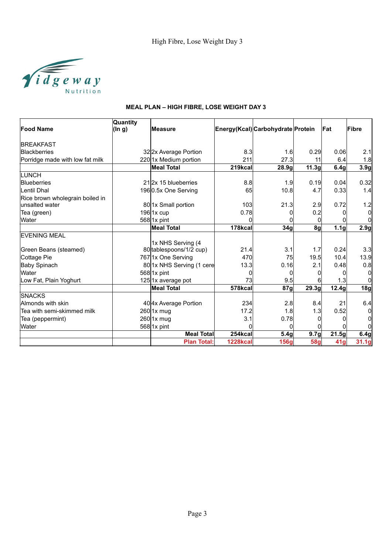

|                                 | Quantity |                           |                 |                                   |                  |                     |              |
|---------------------------------|----------|---------------------------|-----------------|-----------------------------------|------------------|---------------------|--------------|
| <b>Food Name</b>                | (ln g)   | lMeasure                  |                 | Energy(Kcal) Carbohydrate Protein |                  | lFat.               | Fibre        |
| <b>BREAKFAST</b>                |          |                           |                 |                                   |                  |                     |              |
| Blackberries                    |          | 322x Average Portion      | 8.3             | 1.6                               | 0.29             | 0.06                | 2.1          |
| Porridge made with low fat milk |          | 2201x Medium portion      | 211             | 27.3                              | 11               | 6.4                 | 1.8          |
|                                 |          | <b>Meal Total</b>         | 219kcal         | 28.9g                             | 11.3q            | 6.4g                | 3.9g         |
| LUNCH                           |          |                           |                 |                                   |                  |                     |              |
| <b>Blueberries</b>              |          | 212x 15 blueberries       | 8.8             | 1.9                               | 0.19             | 0.04                | 0.32         |
| Lentil Dhal                     |          | 1960.5x One Serving       | 65              | 10.8                              | 4.7              | 0.33                | 1.4          |
| Rice brown wholegrain boiled in |          |                           |                 |                                   |                  |                     |              |
| unsalted water                  |          | 80 1x Small portion       | 103             | 21.3                              | 2.9              | 0.72                | 1.2          |
| Tea (green)                     |          | $196$ 1x cup              | 0.78            |                                   | 0.2              |                     | 0l           |
| Water                           |          | $568$ 1x pint             |                 |                                   |                  |                     | <sub>0</sub> |
|                                 |          | <b>Meal Total</b>         | 178kcal         | 34g                               | 8g               | 1.1 <sub>g</sub>    | 2.9g         |
| <b>EVENING MEAL</b>             |          |                           |                 |                                   |                  |                     |              |
|                                 |          | 1x NHS Serving (4         |                 |                                   |                  |                     |              |
| Green Beans (steamed)           |          | 80 tablespoons/1/2 cup)   | 21.4            | 3.1                               | 1.7              | 0.24                | 3.3          |
| Cottage Pie                     |          | 767 1x One Serving        | 470             | 75                                | 19.5             | 10.4                | 13.9         |
| Baby Spinach                    |          | 80 1x NHS Serving (1 cere | 13.3            | 0.16                              | 2.1              | 0.48                | 0.8          |
| Water                           |          | $568$  1x pint            |                 | ŋ                                 |                  |                     | 0            |
| Low Fat, Plain Yoghurt          |          | 125 1x average pot        | 73              | 9.5                               |                  | 1.3                 | $\Omega$     |
|                                 |          | <b>Meal Total</b>         | 578kcal         | 87g                               | 29.3g            | 12.4g               | 18g          |
| <b>SNACKS</b>                   |          |                           |                 |                                   |                  |                     |              |
| Almonds with skin               |          | 40 4x Average Portion     | 234             | 2.8                               | 8.4              | 21                  | 6.4          |
| Tea with semi-skimmed milk      |          | $260$ 1x mug              | 17.2            | 1.8                               | 1.3              | 0.52                | 0            |
| Tea (peppermint)                |          | $260$ 1x mug              | 3.1             | 0.78                              |                  |                     | 0            |
| Water                           |          | $568$  1x pint            |                 | $\Omega$                          |                  |                     | 0            |
|                                 |          | <b>Meal Total</b>         | 254kcal         | 5.4 <sub>q</sub>                  | 9.7 <sub>g</sub> | $\overline{2}$ 1.5g | 6.4g         |
|                                 |          | <b>Plan Total:</b>        | <b>1228kcal</b> | <b>156g</b>                       | <b>58g</b>       | 41g                 | 31.1g        |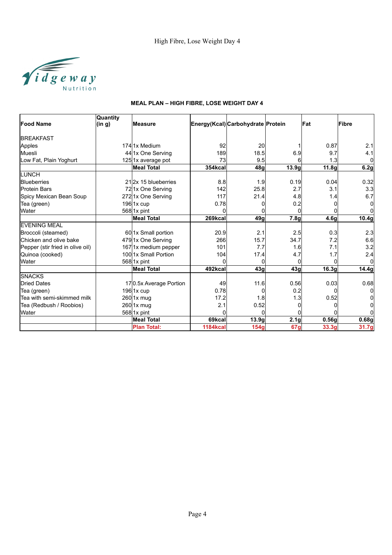

|                                  | <b>Quantity</b> |                          |                 |                                   |                  |                   |          |
|----------------------------------|-----------------|--------------------------|-----------------|-----------------------------------|------------------|-------------------|----------|
| <b>Food Name</b>                 | (in g)          | <b>Measure</b>           |                 | Energy(Kcal) Carbohydrate Protein |                  | <b>IFat</b>       | Fibre    |
| <b>BREAKFAST</b>                 |                 |                          |                 |                                   |                  |                   |          |
| Apples                           |                 | 1741x Medium             | 92              | <b>20</b>                         |                  | 0.87              | 2.1      |
| Muesli                           |                 | 44 1x One Serving        | 189             | 18.5                              | 6.9              | 9.7               | 4.1      |
| Low Fat, Plain Yoghurt           |                 | 125 1x average pot       | 73              | 9.5                               |                  | 1.3               | 0        |
|                                  |                 | <b>Meal Total</b>        | 354kcal         | 48q                               | 13.9g            | 11.8 <sub>g</sub> | 6.2g     |
| <b>ILUNCH</b>                    |                 |                          |                 |                                   |                  |                   |          |
| Blueberries                      |                 | 212x 15 blueberries      | 8.8             | 1.9                               | 0.19             | 0.04              | 0.32     |
| <b>Protein Bars</b>              |                 | 721x One Serving         | 142             | 25.8                              | 2.7              | 3.1               | 3.3      |
| Spicy Mexican Bean Soup          |                 | 2721x One Serving        | 117             | 21.4                              | 4.8              | 1.4               | 6.7      |
| Tea (green)                      |                 | $196$  1x cup            | 0.78            |                                   | 0.2              |                   | 0        |
| Water                            |                 | $568$ <sup>1x</sup> pint | 0               | 0                                 |                  |                   | $\Omega$ |
|                                  |                 | <b>Meal Total</b>        | 269kcal         | 49g                               | 7.8g             | 4.6g              | 10.4g    |
| <b>EVENING MEAL</b>              |                 |                          |                 |                                   |                  |                   |          |
| Broccoli (steamed)               |                 | 60 1x Small portion      | 20.9            | 2.1                               | 2.5              | 0.3               | 2.3      |
| Chicken and olive bake           |                 | 479 1x One Serving       | <b>266</b>      | 15.7                              | 34.7             | 7.2               | 6.6      |
| Pepper (stir fried in olive oil) |                 | 1671x medium pepper      | 101             | 7.7                               | 1.6              | 7.1               | 3.2      |
| Quinoa (cooked)                  |                 | 10011x Small Portion     | 104             | 17.4                              | 4.7              | 1.7               | 2.4      |
| Water                            |                 | 5681x pint               | O               | $\Omega$                          |                  | O                 | $\Omega$ |
|                                  |                 | Meal Total               | 492kcal         | 43g                               | 43g              | 16.3g             | 14.4g    |
| <b>SNACKS</b>                    |                 |                          |                 |                                   |                  |                   |          |
| <b>Dried Dates</b>               |                 | 170.5x Average Portion   | 49              | 11.6                              | 0.56             | 0.03              | 0.68     |
| Tea (green)                      |                 | 196 1x cup               | 0.78            | 0                                 | 0.2              |                   | $\Omega$ |
| Tea with semi-skimmed milk       |                 | 260 1x mug               | 17.2            | 1.8                               | 1.3              | 0.52              |          |
| Tea (Redbush / Roobios)          |                 | $260$  1x mug            | 2.1             | 0.52                              |                  |                   |          |
| Water                            |                 | $568$ <sup>1x</sup> pint | n               | 0                                 |                  |                   |          |
|                                  |                 | <b>Meal Total</b>        | 69kcal          | 13.9q                             | 2.1 <sub>g</sub> | 0.56q             | 0.68g    |
|                                  |                 | <b>Plan Total:</b>       | <b>1184kcal</b> | 154g                              | <b>67g</b>       | 33.3g             | 31.7g    |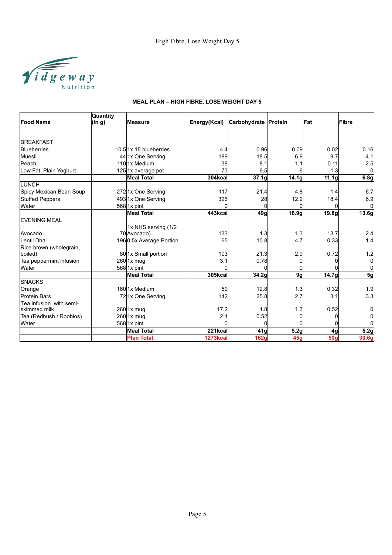

|                         | Quantity  |                         |              |                      |                   |                   |                   |
|-------------------------|-----------|-------------------------|--------------|----------------------|-------------------|-------------------|-------------------|
| <b>Food Name</b>        | $(\ln g)$ | <b>Measure</b>          | Energy(Kcal) | Carbohydrate Protein |                   | Fat               | Fibre             |
|                         |           |                         |              |                      |                   |                   |                   |
| <b>BREAKFAST</b>        |           |                         |              |                      |                   |                   |                   |
| <b>Blueberries</b>      |           | 10.5 1x 15 blueberries  | 4.4          | 0.96                 | 0.09              | 0.02              | 0.16              |
| Muesli                  |           | 44 1x One Serving       | 189          | 18.5                 | 6.9               | 9.7               | 4.1               |
| Peach                   |           | 11011x Medium           | 38           | 8.1                  | 1.1               | 0.11              | 2.5               |
| Low Fat, Plain Yoghurt  |           | 125 1x average pot      | 73           | 9.5                  | 6                 | 1.3               | 0l                |
|                         |           | <b>Meal Total</b>       | 304kcal      | 37.1g                | 14.1 <sub>g</sub> | 11.1g             | 6.8g              |
| <b>LUNCH</b>            |           |                         |              |                      |                   |                   |                   |
| Spicy Mexican Bean Soup |           | 2721x One Serving       | 117          | 21.4                 | 4.8               | 1.4               | 6.7               |
| Stuffed Peppers         |           | 493 1x One Serving      | 326          | 28                   | 12.2              | 18.4              | 6.9               |
| <b>Water</b>            |           | $568$ 1x pint           |              | 0                    |                   | <sup>0</sup>      | 0l                |
|                         |           | Meal Total              | 443kcal      | 49g                  | 16.9q             | 19.8 <sub>g</sub> | 13.6 <sub>g</sub> |
| <b>EVENING MEAL</b>     |           |                         |              |                      |                   |                   |                   |
|                         |           | 1x NHS serving (1/2     |              |                      |                   |                   |                   |
| Avocado                 |           | 70 Avocado)             | 133          | 1.3                  | 1.3               | 13.7              | 2.4               |
| Lentil Dhal             |           | 1960.5x Average Portion | 65           | 10.8                 | 4.7               | 0.33              | 1.4               |
| Rice brown (wholegrain, |           |                         |              |                      |                   |                   |                   |
| boiled)                 |           | 80 1x Small portion     | 103          | 21.3                 | 2.9               | 0.72              | 1.2               |
| Tea peppermint infusion |           | $260$  1x mug           | 3.1          | 0.78                 |                   | <sup>0</sup>      | 0l                |
| <b>Water</b>            |           | $568$  1x pint          |              | O                    |                   |                   | Οl                |
|                         |           | Meal Total              | 305kcal      | 34.2g                | 9g                | 14.7g             | 5g                |
| <b>SNACKS</b>           |           |                         |              |                      |                   |                   |                   |
| Orange                  |           | 16011x Medium           | 59           | 12.8                 | 1.3               | 0.32              | 1.9               |
| <b>Protein Bars</b>     |           | 721x One Serving        | 142          | 25.8                 | 2.7               | 3.1               | 3.3 <sub>l</sub>  |
| Tea infusion with semi- |           |                         |              |                      |                   |                   |                   |
| lskimmed milk           |           | $260$  1x mug           | 17.2         | 1.8                  | 1.3               | 0.52              | 01                |
| Tea (Redbush / Roobios) |           | 260 1x mug              | 2.1          | 0.52                 |                   | 0                 | 0                 |
| Water                   |           | $568$ 1x pint           | O            | $\Omega$             |                   | <sup>0</sup>      | Οl                |
|                         |           | <b>Meal Total</b>       | 221kcal      | 41 <sub>q</sub>      | 5.2g              | 4g                | 5.2g              |
|                         |           | <b>Plan Total:</b>      | 1273kcal     | 162g                 | 45q               | 50g               | 30.6g             |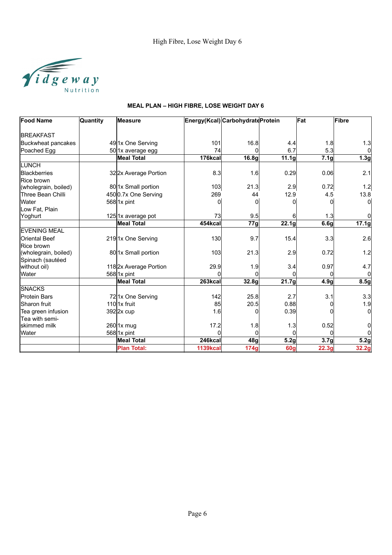

| <b>Food Name</b>         | Quantity | <b>Measure</b>         |                 | Energy(Kcal) CarbohydrateProtein |                   | Fat              | Fibre            |
|--------------------------|----------|------------------------|-----------------|----------------------------------|-------------------|------------------|------------------|
|                          |          |                        |                 |                                  |                   |                  |                  |
| <b>BREAKFAST</b>         |          |                        |                 |                                  |                   |                  |                  |
| Buckwheat pancakes       |          | 49 1x One Serving      | 101             | 16.8                             | 4.4               | 1.8              | 1.3              |
| Poached Egg              |          | 50 1x average egg      | 74              |                                  | 6.7               | 5.3              | $\overline{0}$   |
|                          |          | <b>Meal Total</b>      | 176kcal         | 16.8g                            | 11.1 <sub>g</sub> | 7.1g             | 1.3 <sub>g</sub> |
| LUNCH                    |          |                        |                 |                                  |                   |                  |                  |
| Blackberries             |          | 322x Average Portion   | 8.3             | 1.6                              | 0.29              | 0.06             | 2.1              |
| Rice brown               |          |                        |                 |                                  |                   |                  |                  |
| (wholegrain, boiled)     |          | 80 1x Small portion    | 103             | 21.3                             | 2.9               | 0.72             | 1.2              |
| <b>Three Bean Chilli</b> |          | 4500.7x One Serving    | 269             | 44                               | 12.9              | 4.5              | 13.8             |
| Water                    |          | $568$ 1x pint          | 0               | 0                                | 0                 |                  | $\overline{0}$   |
| Low Fat, Plain           |          |                        |                 |                                  |                   |                  |                  |
| Yoghurt                  |          | 125 1x average pot     | 73              | 9.5                              | 61                | 1.3 <sub>l</sub> | $\overline{0}$   |
|                          |          | <b>Meal Total</b>      | 454kcal         | 77g                              | 22.1g             | 6.6 <sub>q</sub> | 17.1g            |
| <b>EVENING MEAL</b>      |          |                        |                 |                                  |                   |                  |                  |
| <b>Oriental Beef</b>     |          | 2191x One Serving      | 130             | 9.7                              | 15.4              | 3.3              | 2.6              |
| Rice brown               |          |                        |                 |                                  |                   |                  |                  |
| (wholegrain, boiled)     |          | 80 1x Small portion    | 103             | 21.3                             | 2.9               | 0.72             | 1.2              |
| Spinach (sautéed         |          |                        |                 |                                  |                   |                  |                  |
| without oil)             |          | 118 2x Average Portion | 29.9            | 1.9                              | 3.4               | 0.97             | 4.7              |
| Water                    |          | $568$ 1x pint          | O               | $\Omega$                         | $\Omega$          |                  | $\overline{0}$   |
|                          |          | <b>Meal Total</b>      | 263kcal         | 32.8g                            | 21.7g             | 4.9g             | 8.5g             |
| <b>SNACKS</b>            |          |                        |                 |                                  |                   |                  |                  |
| <b>Protein Bars</b>      |          | 721x One Serving       | 142             | 25.8                             | 2.7               | 3.1              | 3.3              |
| <b>Sharon</b> fruit      |          | 110 $1x$ fruit         | 85              | 20.5                             | 0.88              |                  | 1.9              |
| Tea green infusion       |          | $392$  2x cup          | 1.6             | O                                | 0.39              |                  | $\overline{0}$   |
| Tea with semi-           |          |                        |                 |                                  |                   |                  |                  |
| lskimmed milk            |          | 260 1x mug             | 17.2            | 1.8                              | 1.3               | 0.52             | $\overline{0}$   |
| Water                    |          | $568$ 1x pint          | O               | $\Omega$                         | $\Omega$          | ŋ                | $\overline{0}$   |
|                          |          | <b>Meal Total</b>      | 246kcal         | 48 <sub>g</sub>                  | 5.2g              | 3.7 <sub>g</sub> | 5.2g             |
|                          |          | <b>Plan Total:</b>     | <b>1139kcal</b> | 174g                             | <b>60g</b>        | 22.3g            | 32.2g            |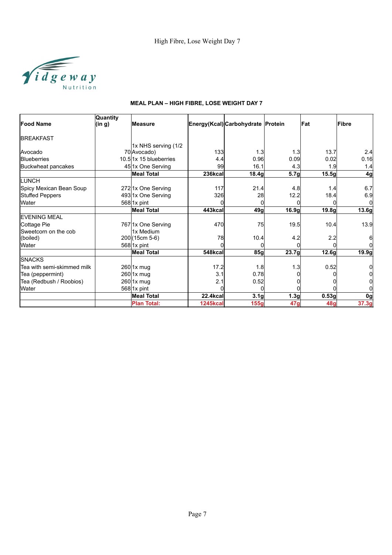

|                            | <b>Quantity</b> |                        |                 |                                   |       |            |                |
|----------------------------|-----------------|------------------------|-----------------|-----------------------------------|-------|------------|----------------|
| <b>Food Name</b>           | (in g)          | <b>Measure</b>         |                 | Energy(Kcal) Carbohydrate Protein |       | <b>Fat</b> | Fibre          |
| <b>BREAKFAST</b>           |                 |                        |                 |                                   |       |            |                |
|                            |                 | 1x NHS serving (1/2    |                 |                                   |       |            |                |
| Avocado                    |                 | 70 Avocado)            | 133             | 1.3                               | 1.3   | 13.7       | 2.4            |
| <b>Blueberries</b>         |                 | 10.511x 15 blueberries | 4.4             | 0.96                              | 0.09  | 0.02       | 0.16           |
| Buckwheat pancakes         |                 | 45 1x One Serving      | 99              | 16.1                              | 4.3   | 1.9        | 1.4            |
|                            |                 | <b>Meal Total</b>      | 236kcal         | 18.4g                             | 5.7g  | 15.5g      | 4 <sub>g</sub> |
| <b>LUNCH</b>               |                 |                        |                 |                                   |       |            |                |
| Spicy Mexican Bean Soup    |                 | 2721x One Serving      | 117             | 21.4                              | 4.8   | 1.4        | 6.7            |
| <b>Stuffed Peppers</b>     |                 | 493 1x One Serving     | 326             | 28                                | 12.2  | 18.4       | 6.9            |
| Water                      |                 | $568$ 1x pint          | O               | 0                                 |       | O          | $\Omega$       |
|                            |                 | <b>Meal Total</b>      | 443kcal         | 49g                               | 16.9g | 19.8g      | 13.6g          |
| <b>EVENING MEAL</b>        |                 |                        |                 |                                   |       |            |                |
| Cottage Pie                |                 | 767 1x One Serving     | 470             | 75                                | 19.5  | 10.4       | 13.9           |
| Sweetcorn on the cob       |                 | 1x Medium              |                 |                                   |       |            |                |
| (boiled)                   |                 | 200 (15cm 5-6)         | 78              | 10.4                              | 4.2   | 2.2        | 6              |
| Water                      |                 | 568 1x pint            |                 |                                   |       |            | $\Omega$       |
|                            |                 | <b>Meal Total</b>      | 548kcal         | 85g                               | 23.7g | 12.6g      | 19.9g          |
| <b>SNACKS</b>              |                 |                        |                 |                                   |       |            |                |
| Tea with semi-skimmed milk |                 | 260 1x mug             | 17.2            | 1.8                               | 1.3   | 0.52       | 0              |
| Tea (peppermint)           |                 | 260 1x mug             | 3.1             | 0.78                              |       |            | 0l             |
| Tea (Redbush / Roobios)    |                 | 260l1x mug             | 2.1             | 0.52                              |       |            | 01             |
| Water                      |                 | 568 1x pint            |                 |                                   |       |            | ΩI             |
|                            |                 | <b>Meal Total</b>      | <b>22.4kcal</b> | 3.1 <sub>g</sub>                  | 1.3g  | 0.53g      | 0g             |
|                            |                 | <b>Plan Total:</b>     | <b>1245kcal</b> | <b>155g</b>                       | 47g   | 48g        | 37.3g          |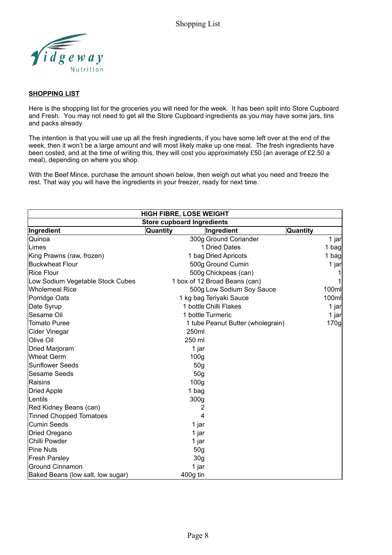

#### **SHOPPING LIST**

Here is the shopping list for the groceries you will need for the week. It has been split into Store Cupboard and Fresh. You may not need to get all the Store Cupboard ingredients as you may have some jars, tins and packs already.

The intention is that you will use up all the fresh ingredients, if you have some left over at the end of the week, then it won't be a large amount and will most likely make up one meal. The fresh ingredients have been costed, and at the time of writing this, they will cost you approximately £50 (an average of £2.50 a meal), depending on where you shop.

With the Beef Mince, purchase the amount shown below, then weigh out what you need and freeze the rest. That way you will have the ingredients in your freezer, ready for next time.

| <b>HIGH FIBRE, LOSE WEIGHT</b>    |                                   |                 |  |  |  |  |  |
|-----------------------------------|-----------------------------------|-----------------|--|--|--|--|--|
| <b>Store cupboard Ingredients</b> |                                   |                 |  |  |  |  |  |
| Ingredient                        | Quantity<br>Ingredient            | <b>Quantity</b> |  |  |  |  |  |
| lQuinoa                           | 300g Ground Coriander             | 1 jar           |  |  |  |  |  |
| Limes                             | 1 Dried Dates                     | 1 bag           |  |  |  |  |  |
| King Prawns (raw, frozen)         | 1 bag Dried Apricots              | 1 bag           |  |  |  |  |  |
| Buckwheat Flour                   | 500g Ground Cumin                 | 1 jar           |  |  |  |  |  |
| <b>Rice Flour</b>                 | 500g Chickpeas (can)              |                 |  |  |  |  |  |
| Low Sodium Vegetable Stock Cubes  | 1 box of 12 Broad Beans (can)     |                 |  |  |  |  |  |
| Wholemeal Rice                    | 500g Low Sodium Soy Sauce         | 100ml           |  |  |  |  |  |
| Porridge Oats                     | 1 kg bag Teriyaki Sauce           | 100ml           |  |  |  |  |  |
| Date Syrup                        | 1 bottle Chilli Flakes            | 1 jar           |  |  |  |  |  |
| Sesame Oil                        | 1 bottle Turmeric                 | 1 jar           |  |  |  |  |  |
| Tomato Puree                      | 1 tube Peanut Butter (wholegrain) | 170g            |  |  |  |  |  |
| Cider Vinegar                     | 250ml                             |                 |  |  |  |  |  |
| Olive Oil                         | 250 ml                            |                 |  |  |  |  |  |
| Dried Marjoram                    | 1 jar                             |                 |  |  |  |  |  |
| Wheat Germ                        | 100 <sub>g</sub>                  |                 |  |  |  |  |  |
| Sunflower Seeds                   | 50 <sub>g</sub>                   |                 |  |  |  |  |  |
| Sesame Seeds                      | 50 <sub>q</sub>                   |                 |  |  |  |  |  |
| Raisins                           | 100 <sub>g</sub>                  |                 |  |  |  |  |  |
| Dried Apple                       | 1 bag                             |                 |  |  |  |  |  |
| Lentils                           | 300g                              |                 |  |  |  |  |  |
| Red Kidney Beans (can)            | 2                                 |                 |  |  |  |  |  |
| <b>Tinned Chopped Tomatoes</b>    | 4                                 |                 |  |  |  |  |  |
| lCumin Seeds                      | 1 jar                             |                 |  |  |  |  |  |
| Dried Oregano                     | 1 jar                             |                 |  |  |  |  |  |
| Chilli Powder                     | 1 jar                             |                 |  |  |  |  |  |
| Pine Nuts                         | 50 <sub>g</sub>                   |                 |  |  |  |  |  |
| Fresh Parsley                     | 30 <sub>g</sub>                   |                 |  |  |  |  |  |
| Ground Cinnamon                   | 1 jar                             |                 |  |  |  |  |  |
| Baked Beans (low salt, low sugar) | 400g tin                          |                 |  |  |  |  |  |